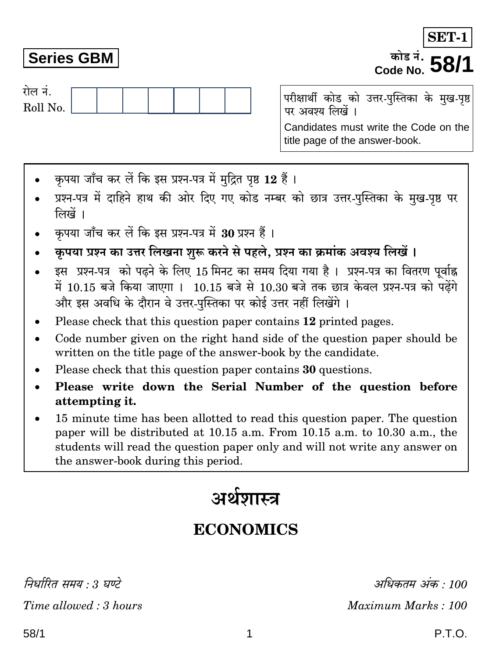निर्धारित ममय : २ घण्टे Time allowed: 3 hours

## **Series GBM**

रोल नं. Roll No.

परीक्षार्थी कोड को उत्तर-पुस्तिका के मुख-पृष्ठ पर अवश्य लिखें । Candidates must write the Code on the title page of the answer-book.

- कपया जाँच कर लें कि इस प्रश्न-पत्र में मुद्रित पृष्ठ 12 हैं।
- प्रश्न-पत्र में दाहिने हाथ की ओर दिए गए कोड नम्बर को छात्र उत्तर-पुस्तिका के मुख-पृष्ठ पर लिखें ।
- कपया जाँच कर लें कि इस प्रश्न-पत्र में 30 प्रश्न हैं ।
- कृपया प्रश्न का उत्तर लिखना शुरू करने से पहले, प्रश्न का क्रमांक अवश्य लिखें ।
- इस प्रश्न-पत्र को पढ़ने के लिए 15 मिनट का समय दिया गया है। प्रश्न-पत्र का वितरण पर्वाह्न में 10.15 बजे किया जाएगा । 10.15 बजे से 10.30 बजे तक छात्र केवल प्रश्न-पत्र को पढ़ेंगे और इस अवधि के दौरान वे उत्तर-पस्तिका पर कोई उत्तर नहीं लिखेंगे ।
- Please check that this question paper contains 12 printed pages.
- Code number given on the right hand side of the question paper should be  $\bullet$ written on the title page of the answer-book by the candidate.
- Please check that this question paper contains 30 questions.
- Please write down the Serial Number of the question before attempting it.
- 15 minute time has been allotted to read this question paper. The question paper will be distributed at 10.15 a.m. From 10.15 a.m. to 10.30 a.m., the students will read the question paper only and will not write any answer on the answer-book during this period.

# अर्थशास्त्र

### **ECONOMICS**

अधिकतम अंक · 100 Maximum Marks: 100

**SET-**

कोड नं. *∎* 

Code No.

### P.T.O.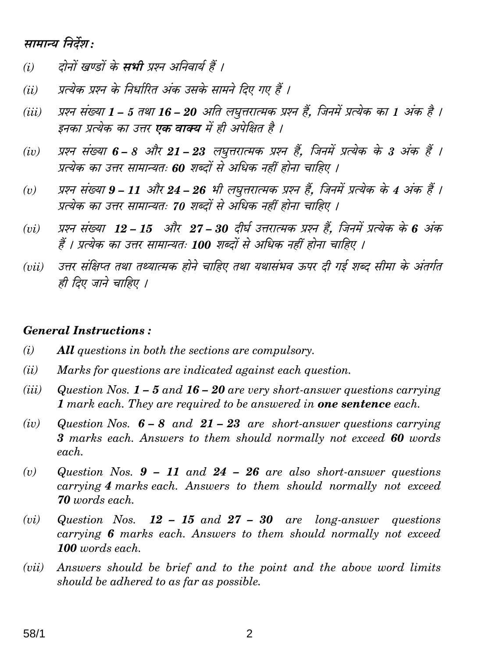#### सामान्य निर्देश:

- दोनों खण्डों के **सभी** प्रश्न अनिवार्य हैं ।  $(i)$
- प्रत्येक प्रश्न के निर्धारित अंक उसके सामने दिए गए हैं ।  $(ii)$
- प्रश्न संख्या 1 5 तथा 16 20 अति लघृत्तरात्मक प्रश्न हैं. जिनमें प्रत्येक का 1 अंक है ।  $(iii)$ इनका प्रत्येक का उत्तर **एक वाक्य** में ही अपेक्षित है ।
- प्रश्न संख्या 6 8 और 21 23 लघुत्तरात्मक प्रश्न हैं, जिनमें प्रत्येक के 3 अंक हैं ।  $(iv)$ प्रत्येक का उत्तर सामान्यतः 60 शब्दों से अधिक नहीं होना चाहिए ।
- प्रश्न संख्या 9 11 और 24 26 भी लघुत्तरात्मक प्रश्न हैं, जिनमें प्रत्येक के 4 अंक हैं ।  $(v)$ प्रत्येक का उत्तर सामान्यतः 70 शब्दों से अधिक नहीं होना चाहिए ।
- प्रश्न संख्या 12 15 और 27 30 दीर्घ उत्तरात्मक प्रश्न हैं. जिनमें प्रत्येक के 6 अंक  $(vi)$ हैं । प्रत्येक का उत्तर सामान्यतः 100 शब्दों से अधिक नहीं होना चाहिए ।
- उत्तर संक्षिप्त तथा तथ्यात्मक होने चाहिए तथा यथासंभव ऊपर दी गई शब्द सीमा के अंतर्गत  $(iii)$ ही दिए जाने चाहिए ।

#### **General Instructions:**

- $(i)$ **All** questions in both the sections are compulsory.
- $(ii)$ Marks for questions are indicated against each question.
- $(iii)$ Question Nos.  $1 - 5$  and  $16 - 20$  are very short-answer questions carrying 1 mark each. They are required to be answered in **one sentence** each.
- $(iv)$ Question Nos.  $6-8$  and  $21-23$  are short-answer questions carrying 3 marks each. Answers to them should normally not exceed 60 words each.
- Question Nos.  $9 11$  and  $24 26$  are also short-answer questions  $(v)$ carrying 4 marks each. Answers to them should normally not exceed **70** words each.
- $(vi)$ Question Nos.  $12 - 15$  and  $27 - 30$  are long-answer questions carrying 6 marks each. Answers to them should normally not exceed 100 words each.
- Answers should be brief and to the point and the above word limits  $(vii)$ should be adhered to as far as possible.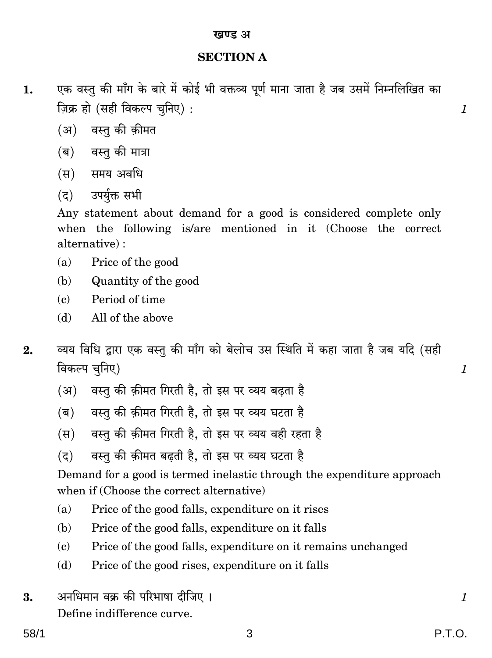#### **SECTION A**

- एक वस्तु की माँग के बारे में कोई भी वक्तव्य पूर्ण माना जाता है जब उसमें निम्नलिखित का 1. ज़िक्र हो (सही विकल्प चुनिए):
	- (अ) वस्त की कीमत
	- (ब) वस्त की मात्रा
	- (स) समय अवधि
	- उपर्युक्त सभी  $(5)$

Any statement about demand for a good is considered complete only when the following is/are mentioned in it (Choose the correct alternative):

- $(a)$ Price of the good
- (b) Quantity of the good
- $\epsilon$ Period of time
- All of the above  $(h)$
- व्यय विधि द्वारा एक वस्तु की माँग को बेलोच उस स्थिति में कहा जाता है जब यदि (सही  $2.$ विकल्प चुनिए)
	- वस्तु की क़ीमत गिरती है, तो इस पर व्यय बढता है  $(3)$
	- वस्तु की क़ीमत गिरती है. तो इस पर व्यय घटता है  $(\overline{a})$
	- वस्तू की क़ीमत गिरती है, तो इस पर व्यय वही रहता है  $(\overline{H})$
	- वस्तु की क़ीमत बढ़ती है, तो इस पर व्यय घटता है  $(5)$

Demand for a good is termed inelastic through the expenditure approach when if (Choose the correct alternative)

- $(a)$ Price of the good falls, expenditure on it rises
- Price of the good falls, expenditure on it falls (b)
- Price of the good falls, expenditure on it remains unchanged  $(c)$
- (d) Price of the good rises, expenditure on it falls
- अनधिमान वक्र की परिभाषा दीजिए । 3. Define indifference curve.

 $\mathcal{I}_{\mathcal{I}}$ 

 $\mathcal{I}$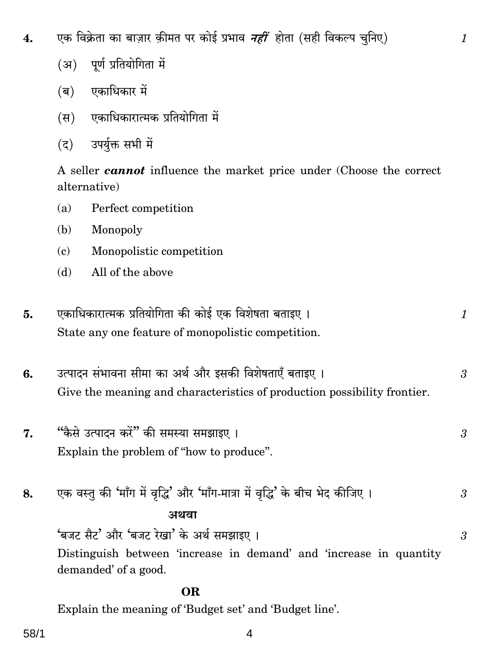एक विक्रेता का बाज़ार क़ीमत पर कोई प्रभाव *नहीं* होता (सही विकल्प चुनिए) 4.

- (अ) पर्ण प्रतियोगिता में
- (ब) एकाधिकार में
- एकाधिकारात्मक प्रतियोगिता में (स)
- उपर्यक्त सभी में  $(5)$

A seller **cannot** influence the market price under (Choose the correct alternative)

 $\mathcal{I}_{\mathcal{L}}$ 

- Perfect competition  $(a)$
- (b) Monopoly
- Monopolistic competition  $\epsilon$
- All of the above  $(d)$
- एकाधिकारात्मक प्रतियोगिता की कोई एक विशेषता बताइए । 5.  $\mathcal{I}_{\mathcal{L}}$ State any one feature of monopolistic competition.
- उत्पादन संभावना सीमा का अर्थ और इसकी विशेषताएँ बताइए । 6. 3 Give the meaning and characteristics of production possibility frontier.
- "कैसे उत्पादन करें" की समस्या समझाइए । 7. 3 Explain the problem of "how to produce".
- एक वस्तु की 'माँग में वृद्धि' और 'माँग-मात्रा में वृद्धि' के बीच भेद कीजिए । 8. 3 अथवा 'बजट सैट' और 'बजट रेखा' के अर्थ समझाइए । 3

Distinguish between 'increase in demand' and 'increase in quantity demanded' of a good.

#### OR.

Explain the meaning of 'Budget set' and 'Budget line'.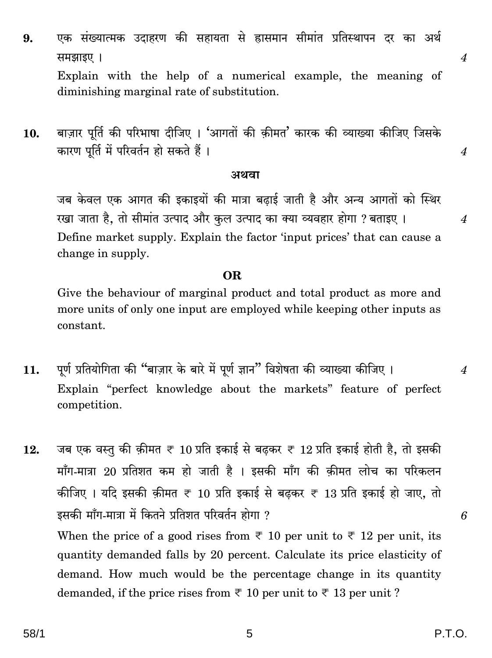एक संख्यात्मक उदाहरण की सहायता से ह्रासमान सीमांत प्रतिस्थापन दर का अर्थ 9. समझाइए ।

Explain with the help of a numerical example, the meaning of diminishing marginal rate of substitution.

बाज़ार पूर्ति की परिभाषा दीजिए । 'आगतों की क़ीमत' कारक की व्याख्या कीजिए जिसके 10. कारण पूर्ति में परिवर्तन हो सकते हैं।

#### अथवा

जब केवल एक आगत की इकाइयों की मात्रा बढाई जाती है और अन्य आगतों को स्थिर रखा जाता है, तो सीमांत उत्पाद और कुल उत्पाद का क्या व्यवहार होगा ? बताइए । Define market supply. Explain the factor 'input prices' that can cause a change in supply.

#### OR.

Give the behaviour of marginal product and total product as more and more units of only one input are employed while keeping other inputs as constant.

पूर्ण प्रतियोगिता की "बाज़ार के बारे में पूर्ण ज्ञान" विशेषता की व्याख्या कीजिए । 11. Explain "perfect knowledge about the markets" feature of perfect competition.

जब एक वस्तु की क़ीमत ₹ 10 प्रति इकाई से बढ़कर ₹ 12 प्रति इकाई होती है, तो इसकी 12. माँग-मात्रा 20 प्रतिशत कम हो जाती है । इसकी माँग की कीमत लोच का परिकलन कीजिए । यदि इसकी क़ीमत ₹ 10 प्रति इकाई से बढ़कर ₹ 13 प्रति इकाई हो जाए, तो इसकी माँग-मात्रा में कितने प्रतिशत परिवर्तन होगा ? When the price of a good rises from  $\overline{\tau}$  10 per unit to  $\overline{\tau}$  12 per unit, its quantity demanded falls by 20 percent. Calculate its price elasticity of demand. How much would be the percentage change in its quantity demanded, if the price rises from  $\overline{\tau}$  10 per unit to  $\overline{\tau}$  13 per unit?

 $\overline{\mathcal{A}}$ 

 $\overline{4}$ 

 $\boldsymbol{\varLambda}$ 

 $\overline{4}$ 

6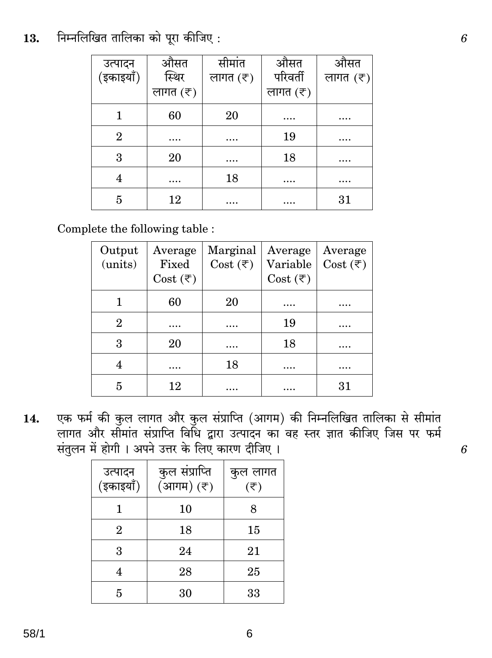#### निम्नलिखित तालिका को पूरा कीजिए: 13.

| उत्पादन<br>(इकाइयाँ) | औसत<br>स्थिर             | सीमांत<br>लागत $(\bar{\tau})$ | औसत<br>परिवर्ती          | औसत<br>लागत $(\bar{\tau})$ |
|----------------------|--------------------------|-------------------------------|--------------------------|----------------------------|
|                      | लागत $(\overline{\tau})$ |                               | लागत $(\overline{\tau})$ |                            |
|                      | 60                       | 20                            | $\cdots$                 | .                          |
| $\overline{2}$       | .                        | $\cdots$                      | 19                       | .                          |
| 3                    | 20                       | $\cdots$                      | 18                       | .                          |
| 4                    | $\cdots$                 | 18                            |                          | .                          |
| 5                    | 12                       | $\cdots$                      | .                        | 31                         |

Complete the following table:

| Output<br>(units) | Average<br>Fixed<br>Cost $(\overline{\tau})$ | Marginal<br>Cost $(\overline{\tau})$ | Average<br>Variable<br>Cost $(\overline{\tau})$ | Average<br>Cost $(\overline{\tau})$ |
|-------------------|----------------------------------------------|--------------------------------------|-------------------------------------------------|-------------------------------------|
|                   | 60                                           | 20                                   | .                                               |                                     |
| $\overline{2}$    |                                              |                                      | 19                                              |                                     |
| 3                 | 20                                           | .                                    | 18                                              | .                                   |
|                   |                                              | 18                                   |                                                 |                                     |
| 5                 | 12                                           |                                      |                                                 | 31                                  |

एक फर्म की कुल लागत और कुल संप्राप्ति (आगम) की निम्नलिखित तालिका से सीमांत 14. लागत और सीमांत संप्राप्ति विधि द्वारा उत्पादन का वह स्तर ज्ञात कीजिए जिस पर फर्म संतुलन में होगी। अपने उत्तर के लिए कारण दीजिए।

| उत्पादन<br>(इकाइयाँ) | कुल संप्राप्ति<br>(आगम) (₹) | कुल लागत<br>$(\overline{\tau})$ |
|----------------------|-----------------------------|---------------------------------|
|                      | 10                          | 8                               |
| $\overline{2}$       | 18                          | 15                              |
| 3                    | 24                          | 21                              |
|                      | 28                          | 25                              |
| 5                    | 30                          | 33                              |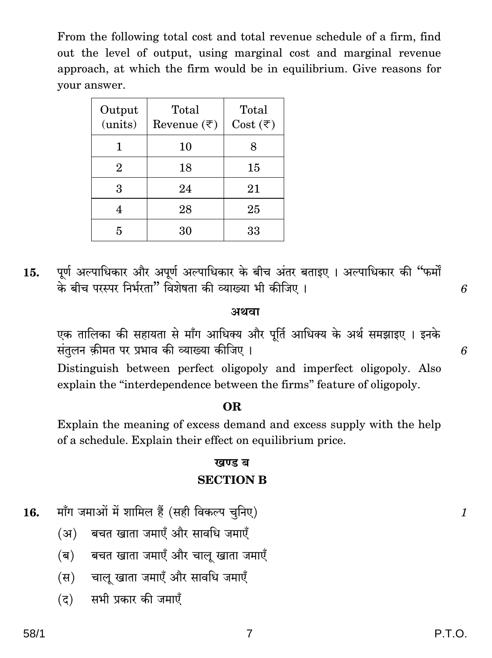From the following total cost and total revenue schedule of a firm, find out the level of output, using marginal cost and marginal revenue approach, at which the firm would be in equilibrium. Give reasons for vour answer.

| Output<br>(units) | Total<br>Revenue $(\overline{\tau})$ | Total<br>Cost $(\overline{\tau})$ |
|-------------------|--------------------------------------|-----------------------------------|
|                   | 10                                   |                                   |
| $\overline{2}$    | 18                                   | 15                                |
| 3                 | 24                                   | 21                                |
|                   | 28                                   | 25                                |
| 5                 | 30                                   | 33                                |

पूर्ण अल्पाधिकार और अपूर्ण अल्पाधिकार के बीच अंतर बताइए । अल्पाधिकार की "फर्मों 15. के बीच परस्पर निर्भरता" विशेषता की व्याख्या भी कीजिए ।

#### अथवा

एक तालिका की सहायता से माँग आधिक्य और पूर्ति आधिक्य के अर्थ समझाइए । इनके संतुलन क़ीमत पर प्रभाव की व्याख्या कीजिए।

Distinguish between perfect oligopoly and imperfect oligopoly. Also explain the "interdependence between the firms" feature of oligopoly.

#### OR.

Explain the meaning of excess demand and excess supply with the help of a schedule. Explain their effect on equilibrium price.

#### खण्ड ब **SECTION B**

- माँग जमाओं में शामिल हैं (सही विकल्प चुनिए) 16.
	- बचत खाता जमाएँ और सावधि जमाएँ (अ)
	- बचत खाता जमाएँ और चालु खाता जमाएँ (ब)
	- चालु खाता जमाएँ और सावधि जमाएँ (स)
	- $(5)$ सभी प्रकार की जमाएँ

6

6

 $\mathcal{I}_{\mathcal{L}}$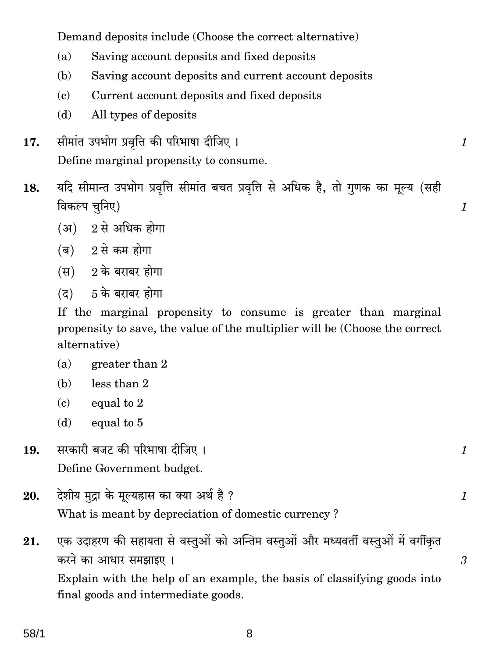Demand deposits include (Choose the correct alternative)

- Saving account deposits and fixed deposits  $(a)$
- Saving account deposits and current account deposits (b)
- Current account deposits and fixed deposits  $\Omega$
- $(b)$ All types of deposits
- सीमांत उपभोग प्रवृत्ति की परिभाषा दीजिए । 17. Define marginal propensity to consume.
- यदि सीमान्त उपभोग प्रवृत्ति सीमांत बचत प्रवृत्ति से अधिक है, तो गुणक का मूल्य (सही 18. विकल्प चुनिए)

 $\mathcal{I}_{\mathcal{L}}$ 

 $\mathcal{I}$ 

1

1

3

- $(3)$  2 से अधिक होगा
- $\overline{a}$ ) 2 से कम होगा
- $(H)$  2 के बराबर होगा
- $(7)$  5 के बराबर होगा

If the marginal propensity to consume is greater than marginal propensity to save, the value of the multiplier will be (Choose the correct alternative)

- $(a)$ greater than 2
- $less than 2$ (b)
- equal to 2  $\mathbf{c}$
- equal to 5 (d)
- सरकारी बजट की परिभाषा दीजिए। 19. Define Government budget.
- देशीय मुद्रा के मूल्यहास का क्या अर्थ है ? 20. What is meant by depreciation of domestic currency?
- एक उदाहरण की सहायता से वस्तुओं को अन्तिम वस्तुओं और मध्यवर्ती वस्तुओं में वर्गीकृत 21. करने का आधार समझाइए। Explain with the help of an example, the basis of classifying goods into final goods and intermediate goods.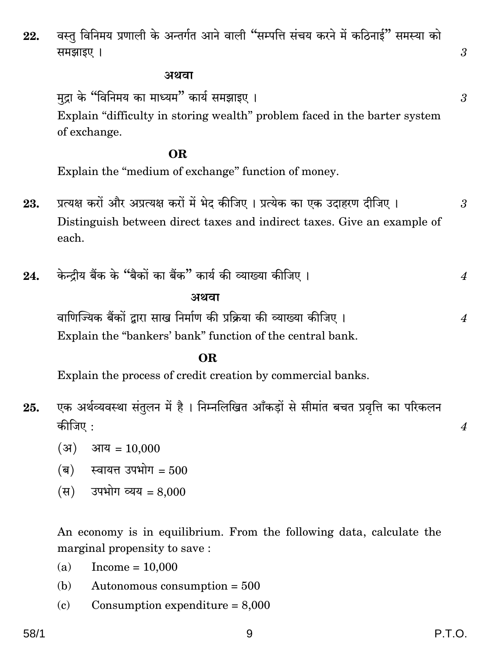#### अथवा

मुद्रा के "विनिमय का माध्यम" कार्य समझाइए । Explain "difficulty in storing wealth" problem faced in the barter system of exchange.

#### OR.

Explain the "medium of exchange" function of money.

- प्रत्यक्ष करों और अप्रत्यक्ष करों में भेद कीजिए । प्रत्येक का एक उदाहरण दीजिए । 23.  $\mathcal{S}$ Distinguish between direct taxes and indirect taxes. Give an example of each.
- केन्दीय बैंक के "बैकों का बैंक" कार्य की व्याख्या कीजिए । 24.  $\boldsymbol{4}$

#### अथवा

वाणिज्यिक बैंकों द्वारा साख निर्माण की प्रक्रिया की व्याख्या कीजिए । Explain the "bankers' bank" function of the central bank.

#### OR.

Explain the process of credit creation by commercial banks.

- एक अर्थव्यवस्था संतुलन में है । निम्नलिखित आँकडों से सीमांत बचत प्रवृत्ति का परिकलन 25. कीजिए :
	- $(31)$  आय = 10,000
	- $(a)$  स्वायत्त उपभोग = 500
	- (स) उपभोग व्यय = 8,000

An economy is in equilibrium. From the following data, calculate the marginal propensity to save:

- Income =  $10,000$  $(a)$
- Autonomous consumption  $= 500$ (b)
- $(c)$ Consumption expenditure  $= 8,000$

3

3

 $\overline{4}$ 

 $\overline{4}$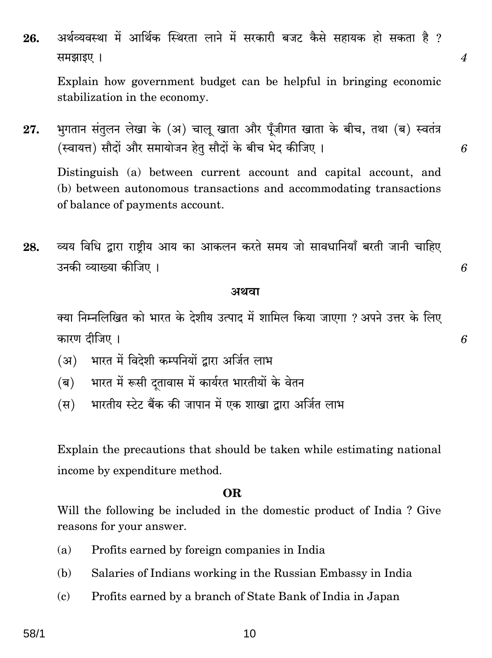अर्थव्यवस्था में आर्थिक स्थिरता लाने में सरकारी बजट कैसे सहायक हो सकता है ? 26. समझाइए।

Explain how government budget can be helpful in bringing economic stabilization in the economy.

भुगतान संतुलन लेखा के (अ) चालू खाता और पूँजीगत खाता के बीच, तथा (ब) स्वतंत्र 27. (स्वायत्त) सौदों और समायोजन हेतू सौदों के बीच भेद कीजिए । Distinguish (a) between current account and capital account, and (b) between autonomous transactions and accommodating transactions of balance of payments account.

व्यय विधि द्वारा राष्ट्रीय आय का आकलन करते समय जो सावधानियाँ बरती जानी चाहिए 28. उनकी व्याख्या कीजिए ।

#### अथवा

क्या निम्नलिखित को भारत के देशीय उत्पाद में शामिल किया जाएगा ? अपने उत्तर के लिए कारण टीजिए ।

- भारत में विदेशी कम्पनियों द्वारा अर्जित लाभ (अ)
- $(\overline{\mathbf{a}})$ भारत में रूसी दतावास में कार्यरत भारतीयों के वेतन
- भारतीय स्टेट बैंक की जापान में एक शाखा द्वारा अर्जित लाभ  $(\overline{H})$

Explain the precautions that should be taken while estimating national income by expenditure method.

#### OR.

Will the following be included in the domestic product of India? Give reasons for your answer.

- Profits earned by foreign companies in India  $(a)$
- (b) Salaries of Indians working in the Russian Embassy in India
- Profits earned by a branch of State Bank of India in Japan  $(c)$

10

6

6

 $\overline{\mathcal{A}}$ 

6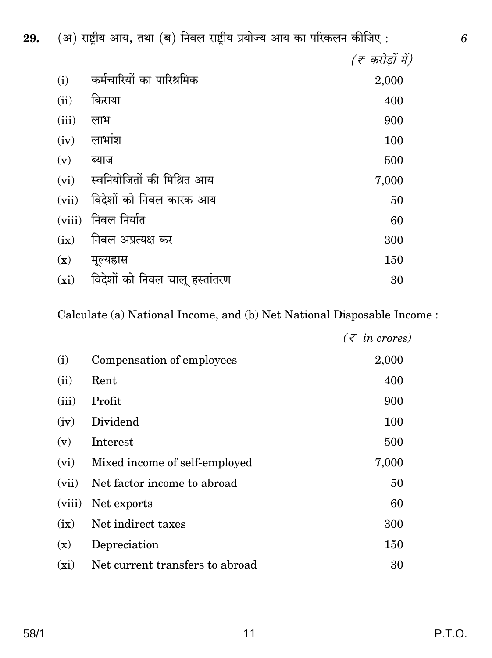(अ) राष्ट्रीय आय, तथा (ब) निवल राष्ट्रीय प्रयोज्य आय का परिकलन कीजिए: (ह करोड़ों में) कर्मचारियों का पारिश्रमिक  $(i)$ 2,000 किराया  $(ii)$ 400  $(iii)$ लाभ 900  $(iv)$ लाभांश 100  $(v)$ ब्याज 500 स्वनियोजितों की मिश्रित आय  $(vi)$ 7,000 विदेशों को निवल कारक आय  $(vii)$ 50 (viii) निवल निर्यात 60  $(ix)$ निवल अप्रत्यक्ष कर 300  $(x)$ मूल्यह्रास 150 विदेशों को निवल चालू हस्तांतरण  $\left(\mathrm{xi}\right)$ 30

Calculate (a) National Income, and (b) Net National Disposable Income:

|         |                                 | $(\bar{\tau}$ in crores) |
|---------|---------------------------------|--------------------------|
| (i)     | Compensation of employees       | 2,000                    |
| (ii)    | Rent                            | 400                      |
| (iii)   | Profit                          | 900                      |
| (iv)    | Dividend                        | 100                      |
| (v)     | Interest                        | 500                      |
| (vi)    | Mixed income of self-employed   | 7,000                    |
| (vii)   | Net factor income to abroad     | 50                       |
| (viii)  | Net exports                     | 60                       |
| (ix)    | Net indirect taxes              | 300                      |
| (x)     | Depreciation                    | 150                      |
| $(x_i)$ | Net current transfers to abroad | 30                       |

29.

6